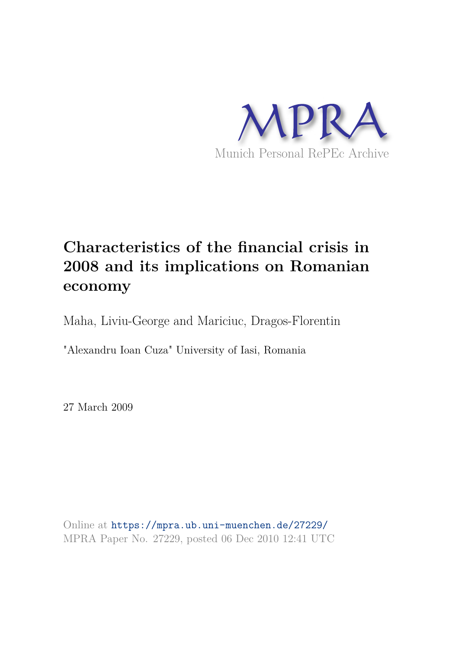

## **Characteristics of the financial crisis in 2008 and its implications on Romanian economy**

Maha, Liviu-George and Mariciuc, Dragos-Florentin

"Alexandru Ioan Cuza" University of Iasi, Romania

27 March 2009

Online at https://mpra.ub.uni-muenchen.de/27229/ MPRA Paper No. 27229, posted 06 Dec 2010 12:41 UTC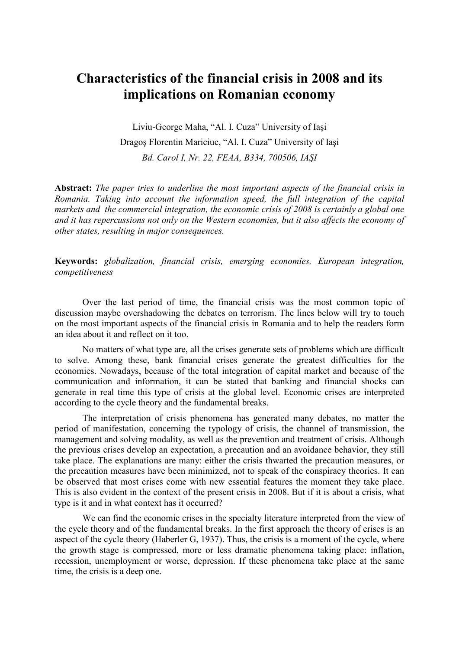## Characteristics of the financial crisis in 2008 and its **implications on Romanian economy**

Liviu-George Maha, "Al. I. Cuza" University of Iasi Dragos Florentin Mariciuc, "Al. I. Cuza" University of Iasi Bd. Carol I, Nr. 22, FEAA, B334, 700506, IASI

**Abstract:** The paper tries to underline the most important aspects of the financial crisis in *Romania. Taking into account the information speed, the full integration of the capital markets and the commercial integration, the economic crisis of 2008 is certainly a global one and it has repercussions not only on the Western economies, but it also affects the economy of other states, resulting in major consequences.* 

**Keywords:** globalization, financial crisis, emerging economies, European integration, *competitiveness*

Over the last period of time, the financial crisis was the most common topic of discussion maybe overshadowing the debates on terrorism. The lines below will try to touch on the most important aspects of the financial crisis in Romania and to help the readers form an idea about it and reflect on it too.

No matters of what type are, all the crises generate sets of problems which are difficult to solve. Among these, bank financial crises generate the greatest difficulties for the economies. Nowadays, because of the total integration of capital market and because of the communication and information, it can be stated that banking and financial shocks can generate in real time this type of crisis at the global level. Economic crises are interpreted according to the cycle theory and the fundamental breaks.

The interpretation of crisis phenomena has generated many debates, no matter the period of manifestation, concerning the typology of crisis, the channel of transmission, the management and solving modality, as well as the prevention and treatment of crisis. Although the previous crises develop an expectation, a precaution and an avoidance behavior, they still take place. The explanations are many: either the crisis thwarted the precaution measures, or the precaution measures have been minimized, not to speak of the conspiracy theories. It can be observed that most crises come with new essential features the moment they take place. This is also evident in the context of the present crisis in 2008. But if it is about a crisis, what type is it and in what context has it occurred?

We can find the economic crises in the specialty literature interpreted from the view of the cycle theory and of the fundamental breaks. In the first approach the theory of crises is an aspect of the cycle theory (Haberler G, 1937). Thus, the crisis is a moment of the cycle, where the growth stage is compressed, more or less dramatic phenomena taking place: inflation, recession, unemployment or worse, depression. If these phenomena take place at the same time, the crisis is a deep one.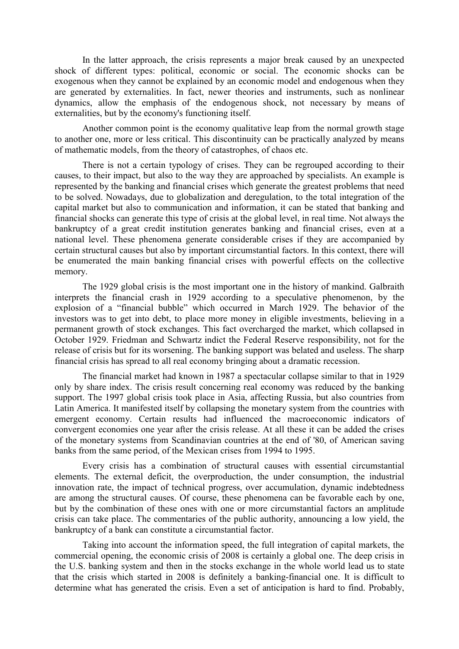In the latter approach, the crisis represents a major break caused by an unexpected shock of different types: political, economic or social. The economic shocks can be exogenous when they cannot be explained by an economic model and endogenous when they are generated by externalities. In fact, newer theories and instruments, such as nonlinear dynamics, allow the emphasis of the endogenous shock, not necessary by means of externalities, but by the economy's functioning itself.

Another common point is the economy qualitative leap from the normal growth stage to another one, more or less critical. This discontinuity can be practically analyzed by means of mathematic models, from the theory of catastrophes, of chaos etc.

There is not a certain typology of crises. They can be regrouped according to their causes, to their impact, but also to the way they are approached by specialists. An example is represented by the banking and financial crises which generate the greatest problems that need to be solved. Nowadays, due to globalization and deregulation, to the total integration of the capital market but also to communication and information, it can be stated that banking and financial shocks can generate this type of crisis at the global level, in real time. Not always the bankruptcy of a great credit institution generates banking and financial crises, even at a national level. These phenomena generate considerable crises if they are accompanied by certain structural causes but also by important circumstantial factors. In this context, there will be enumerated the main banking financial crises with powerful effects on the collective memory.

The 1929 global crisis is the most important one in the history of mankind. Galbraith interprets the financial crash in 1929 according to a speculative phenomenon, by the explosion of a "financial bubble" which occurred in March 1929. The behavior of the investors was to get into debt, to place more money in eligible investments, believing in a permanent growth of stock exchanges. This fact overcharged the market, which collapsed in October 1929. Friedman and Schwartz indict the Federal Reserve responsibility, not for the release of crisis but for its worsening. The banking support was belated and useless. The sharp financial crisis has spread to all real economy bringing about a dramatic recession.

The financial market had known in 1987 a spectacular collapse similar to that in 1929 only by share index. The crisis result concerning real economy was reduced by the banking support. The 1997 global crisis took place in Asia, affecting Russia, but also countries from Latin America. It manifested itself by collapsing the monetary system from the countries with emergent economy. Certain results had influenced the macroeconomic indicators of convergent economies one year after the crisis release. At all these it can be added the crises of the monetary systems from Scandinavian countries at the end of '80, of American saving banks from the same period, of the Mexican crises from 1994 to 1995.

Every crisis has a combination of structural causes with essential circumstantial elements. The external deficit, the overproduction, the under consumption, the industrial innovation rate, the impact of technical progress, over accumulation, dynamic indebtedness are among the structural causes. Of course, these phenomena can be favorable each by one, but by the combination of these ones with one or more circumstantial factors an amplitude crisis can take place. The commentaries of the public authority, announcing a low yield, the bankruptcy of a bank can constitute a circumstantial factor.

Taking into account the information speed, the full integration of capital markets, the commercial opening, the economic crisis of 2008 is certainly a global one. The deep crisis in the U.S. banking system and then in the stocks exchange in the whole world lead us to state that the crisis which started in 2008 is definitely a banking-financial one. It is difficult to determine what has generated the crisis. Even a set of anticipation is hard to find. Probably,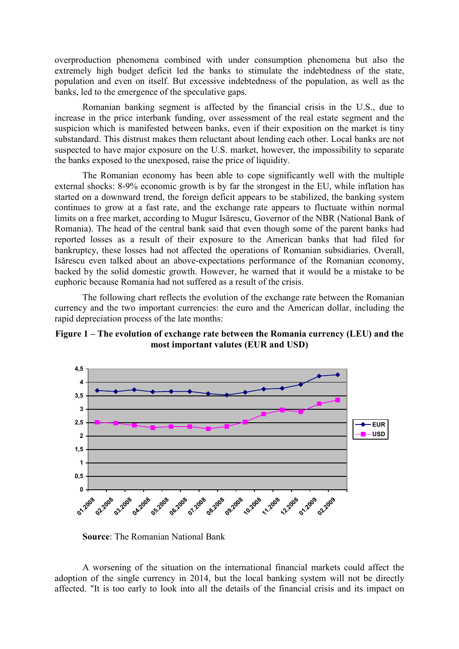overproduction phenomena combined with under consumption phenomena but also the extremely high budget deficit led the banks to stimulate the indebtedness of the state, population and even on itself. But excessive indebtedness of the population, as well as the banks, led to the emergence of the speculative gaps.

Romanian banking segment is affected by the financial crisis in the U.S., due to increase in the price interbank funding, over assessment of the real estate segment and the suspicion which is manifested between banks, even if their exposition on the market is tiny substandard. This distrust makes them reluctant about lending each other. Local banks are not suspected to have major exposure on the U.S. market, however, the impossibility to separate the banks exposed to the unexposed, raise the price of liquidity.

The Romanian economy has been able to cope significantly well with the multiple external shocks: 8-9% economic growth is by far the strongest in the EU, while inflation has started on a downward trend, the foreign deficit appears to be stabilized, the banking system continues to grow at a fast rate, and the exchange rate appears to fluctuate within normal limits on a free market, according to Mugur Isărescu, Governor of the NBR (National Bank of Romania). The head of the central bank said that even though some of the parent banks had reported losses as a result of their exposure to the American banks that had filed for bankruptcy, these losses had not affected the operations of Romanian subsidiaries. Overall, Isărescu even talked about an above-expectations performance of the Romanian economy, backed by the solid domestic growth. However, he warned that it would be a mistake to be euphoric because Romania had not suffered as a result of the crisis.

The following chart reflects the evolution of the exchange rate between the Romanian currency and the two important currencies: the euro and the American dollar, including the rapid depreciation process of the late months:





**Source:** The Romanian National Bank

A worsening of the situation on the international financial markets could affect the adoption of the single currency in 2014, but the local banking system will not be directly affected. "It is too early to look into all the details of the financial crisis and its impact on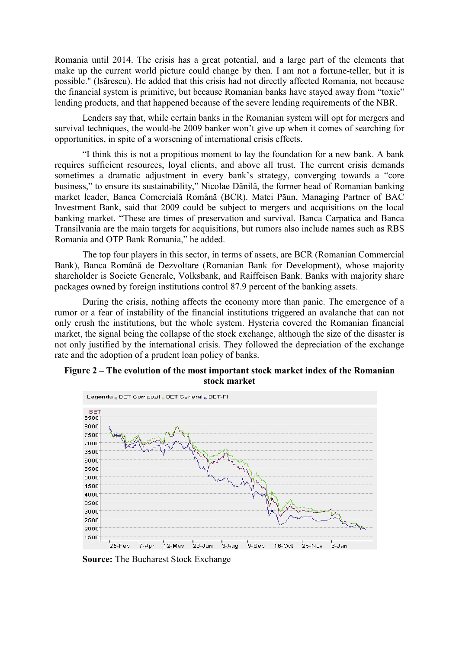Romania until 2014. The crisis has a great potential, and a large part of the elements that make up the current world picture could change by then. I am not a fortune-teller, but it is possible." (Isărescu). He added that this crisis had not directly affected Romania, not because the financial system is primitive, but because Romanian banks have stayed away from "toxic" lending products, and that happened because of the severe lending requirements of the NBR.

Lenders say that, while certain banks in the Romanian system will opt for mergers and survival techniques, the would-be 2009 banker won't give up when it comes of searching for opportunities, in spite of a worsening of international crisis effects.

"I think this is not a propitious moment to lay the foundation for a new bank. A bank requires sufficient resources, loyal clients, and above all trust. The current crisis demands sometimes a dramatic adjustment in every bank's strategy, converging towards a "core business," to ensure its sustainability," Nicolae Dănilă, the former head of Romanian banking market leader, Banca Comercială Română (BCR). Matei Păun, Managing Partner of BAC Investment Bank, said that 2009 could be subject to mergers and acquisitions on the local banking market. "These are times of preservation and survival. Banca Carpatica and Banca Transilvania are the main targets for acquisitions, but rumors also include names such as RBS Romania and OTP Bank Romania," he added.

The top four players in this sector, in terms of assets, are BCR (Romanian Commercial Bank), Banca Română de Dezvoltare (Romanian Bank for Development), whose majority shareholder is Societe Generale, Volksbank, and Raiffeisen Bank. Banks with majority share packages owned by foreign institutions control 87.9 percent of the banking assets.

During the crisis, nothing affects the economy more than panic. The emergence of a rumor or a fear of instability of the financial institutions triggered an avalanche that can not only crush the institutions, but the whole system. Hysteria covered the Romanian financial market, the signal being the collapse of the stock exchange, although the size of the disaster is not only justified by the international crisis. They followed the depreciation of the exchange rate and the adoption of a prudent loan policy of banks.





**Source:** The Bucharest Stock Exchange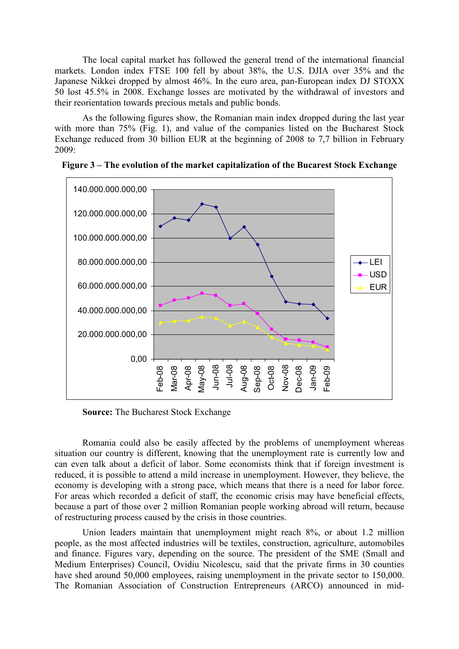The local capital market has followed the general trend of the international financial markets. London index FTSE 100 fell by about 38%, the U.S. DJIA over 35% and the Japanese Nikkei dropped by almost 46%. In the euro area, pan-European index DJ STOXX 50 lost 45.5% in 2008. Exchange losses are motivated by the withdrawal of investors and their reorientation towards precious metals and public bonds.

As the following figures show, the Romanian main index dropped during the last year with more than 75% (Fig. 1), and value of the companies listed on the Bucharest Stock Exchange reduced from 30 billion EUR at the beginning of 2008 to 7,7 billion in February 2009:



Figure 3 – The evolution of the market capitalization of the Bucarest Stock Exchange

**Source:** The Bucharest Stock Exchange

Romania could also be easily affected by the problems of unemployment whereas situation our country is different, knowing that the unemployment rate is currently low and can even talk about a deficit of labor. Some economists think that if foreign investment is reduced, it is possible to attend a mild increase in unemployment. However, they believe, the economy is developing with a strong pace, which means that there is a need for labor force. For areas which recorded a deficit of staff, the economic crisis may have beneficial effects, because a part of those over 2 million Romanian people working abroad will return, because of restructuring process caused by the crisis in those countries.

Union leaders maintain that unemployment might reach 8%, or about 1.2 million people, as the most affected industries will be textiles, construction, agriculture, automobiles and finance. Figures vary, depending on the source. The president of the SME (Small and Medium Enterprises) Council, Ovidiu Nicolescu, said that the private firms in 30 counties have shed around 50,000 employees, raising unemployment in the private sector to 150,000. The Romanian Association of Construction Entrepreneurs (ARCO) announced in mid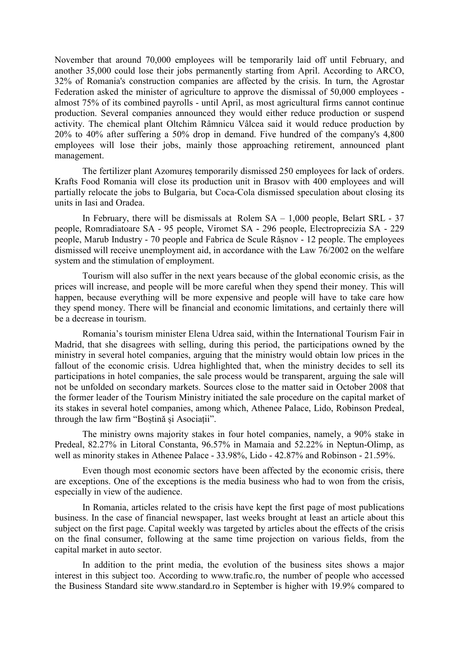November that around 70,000 employees will be temporarily laid off until February, and another 35,000 could lose their jobs permanently starting from April. According to ARCO, 32% of Romania's construction companies are affected by the crisis. In turn, the Agrostar Federation asked the minister of agriculture to approve the dismissal of 50,000 employees almost 75% of its combined payrolls - until April, as most agricultural firms cannot continue production. Several companies announced they would either reduce production or suspend activity. The chemical plant Oltchim Râmnicu Vâlcea said it would reduce production by 20% to 40% after suffering a 50% drop in demand. Five hundred of the company's 4,800 employees will lose their jobs, mainly those approaching retirement, announced plant management.

The fertilizer plant Azomureș temporarily dismissed 250 employees for lack of orders. Krafts Food Romania will close its production unit in Brasov with 400 employees and will partially relocate the jobs to Bulgaria, but Coca-Cola dismissed speculation about closing its units in Iasi and Oradea.

In February, there will be dismissals at Rolem  $SA - 1,000$  people, Belart  $SRL - 37$ people, Romradiatoare SA 95 people, Viromet SA 296 people, Electroprecizia SA 229 people, Marub Industry 70 people and Fabrica de Scule Râșnov 12 people. The employees dismissed will receive unemployment aid, in accordance with the Law 76/2002 on the welfare system and the stimulation of employment.

Tourism will also suffer in the next years because of the global economic crisis, as the prices will increase, and people will be more careful when they spend their money. This will happen, because everything will be more expensive and people will have to take care how they spend money. There will be financial and economic limitations, and certainly there will be a decrease in tourism.

Romania's tourism minister Elena Udrea said, within the International Tourism Fair in Madrid, that she disagrees with selling, during this period, the participations owned by the ministry in several hotel companies, arguing that the ministry would obtain low prices in the fallout of the economic crisis. Udrea highlighted that, when the ministry decides to sell its participations in hotel companies, the sale process would be transparent, arguing the sale will not be unfolded on secondary markets. Sources close to the matter said in October 2008 that the former leader of the Tourism Ministry initiated the sale procedure on the capital market of its stakes in several hotel companies, among which, Athenee Palace, Lido, Robinson Predeal, through the law firm "Boștină și Asociații".

The ministry owns majority stakes in four hotel companies, namely, a 90% stake in Predeal, 82.27% in Litoral Constanta, 96.57% in Mamaia and 52.22% in Neptun-Olimp, as well as minority stakes in Athenee Palace - 33.98%, Lido - 42.87% and Robinson - 21.59%.

Even though most economic sectors have been affected by the economic crisis, there are exceptions. One of the exceptions is the media business who had to won from the crisis, especially in view of the audience.

In Romania, articles related to the crisis have kept the first page of most publications business. In the case of financial newspaper, last weeks brought at least an article about this subject on the first page. Capital weekly was targeted by articles about the effects of the crisis on the final consumer, following at the same time projection on various fields, from the capital market in auto sector.

In addition to the print media, the evolution of the business sites shows a major interest in this subject too. According to www.trafic.ro, the number of people who accessed the Business Standard site www.standard.ro in September is higher with 19.9% compared to